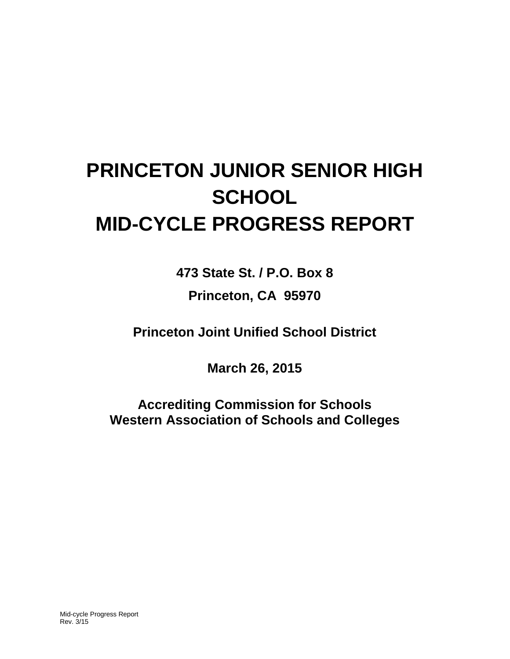# **PRINCETON JUNIOR SENIOR HIGH SCHOOL MID-CYCLE PROGRESS REPORT**

**473 State St. / P.O. Box 8**

**Princeton, CA 95970**

**Princeton Joint Unified School District**

**March 26, 2015**

**Accrediting Commission for Schools Western Association of Schools and Colleges**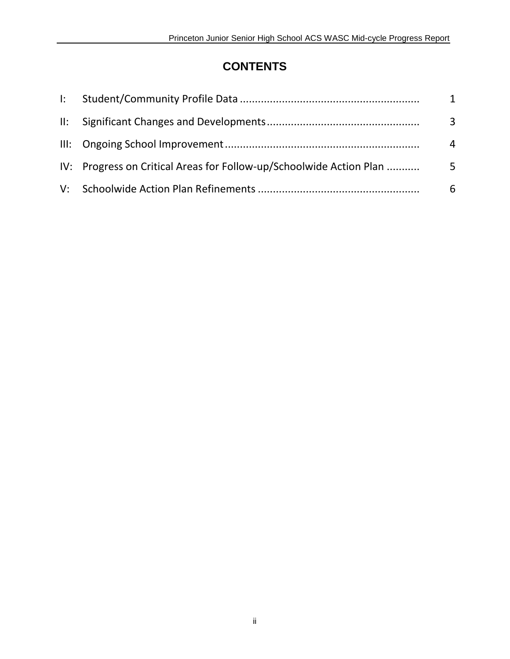## **CONTENTS**

|                                                                     | $\mathbf{1}$ |
|---------------------------------------------------------------------|--------------|
|                                                                     | 3            |
|                                                                     | 4            |
| IV: Progress on Critical Areas for Follow-up/Schoolwide Action Plan | 5            |
|                                                                     | 6            |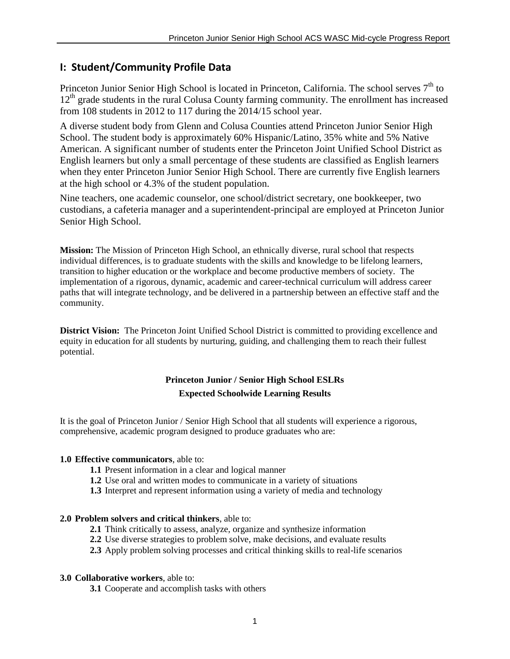## **I: Student/Community Profile Data**

Princeton Junior Senior High School is located in Princeton, California. The school serves  $7<sup>th</sup>$  to  $12<sup>th</sup>$  grade students in the rural Colusa County farming community. The enrollment has increased from 108 students in 2012 to 117 during the 2014/15 school year.

A diverse student body from Glenn and Colusa Counties attend Princeton Junior Senior High School. The student body is approximately 60% Hispanic/Latino, 35% white and 5% Native American. A significant number of students enter the Princeton Joint Unified School District as English learners but only a small percentage of these students are classified as English learners when they enter Princeton Junior Senior High School. There are currently five English learners at the high school or 4.3% of the student population.

Nine teachers, one academic counselor, one school/district secretary, one bookkeeper, two custodians, a cafeteria manager and a superintendent-principal are employed at Princeton Junior Senior High School.

**Mission:** The Mission of Princeton High School, an ethnically diverse, rural school that respects individual differences, is to graduate students with the skills and knowledge to be lifelong learners, transition to higher education or the workplace and become productive members of society. The implementation of a rigorous, dynamic, academic and career-technical curriculum will address career paths that will integrate technology, and be delivered in a partnership between an effective staff and the community.

**District Vision:** The Princeton Joint Unified School District is committed to providing excellence and equity in education for all students by nurturing, guiding, and challenging them to reach their fullest potential.

## **Princeton Junior / Senior High School ESLRs Expected Schoolwide Learning Results**

It is the goal of Princeton Junior / Senior High School that all students will experience a rigorous, comprehensive, academic program designed to produce graduates who are:

#### **1.0 Effective communicators**, able to:

- **1.1** Present information in a clear and logical manner
- **1.2** Use oral and written modes to communicate in a variety of situations
- **1.3** Interpret and represent information using a variety of media and technology

#### **2.0 Problem solvers and critical thinkers**, able to:

- **2.1** Think critically to assess, analyze, organize and synthesize information
- **2.2** Use diverse strategies to problem solve, make decisions, and evaluate results
- **2.3** Apply problem solving processes and critical thinking skills to real-life scenarios

#### **3.0 Collaborative workers**, able to:

**3.1** Cooperate and accomplish tasks with others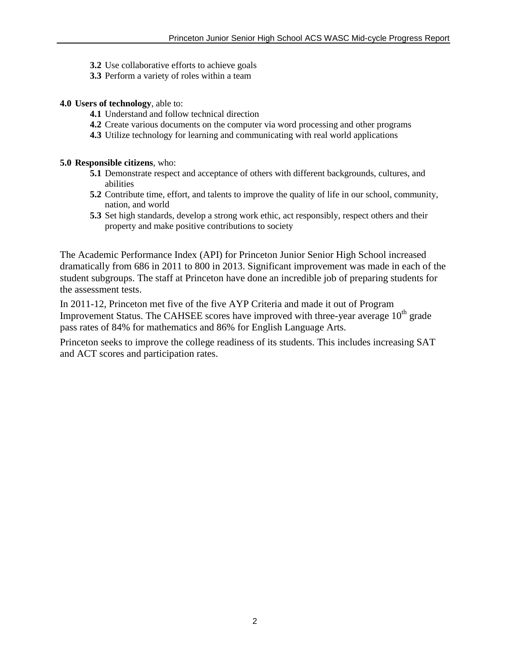- **3.2** Use collaborative efforts to achieve goals
- **3.3** Perform a variety of roles within a team

#### **4.0 Users of technology**, able to:

- **4.1** Understand and follow technical direction
- **4.2** Create various documents on the computer via word processing and other programs
- **4.3** Utilize technology for learning and communicating with real world applications

#### **5.0 Responsible citizens**, who:

- **5.1** Demonstrate respect and acceptance of others with different backgrounds, cultures, and abilities
- **5.2** Contribute time, effort, and talents to improve the quality of life in our school, community, nation, and world
- **5.3** Set high standards, develop a strong work ethic, act responsibly, respect others and their property and make positive contributions to society

The Academic Performance Index (API) for Princeton Junior Senior High School increased dramatically from 686 in 2011 to 800 in 2013. Significant improvement was made in each of the student subgroups. The staff at Princeton have done an incredible job of preparing students for the assessment tests.

In 2011-12, Princeton met five of the five AYP Criteria and made it out of Program Improvement Status. The CAHSEE scores have improved with three-year average  $10<sup>th</sup>$  grade pass rates of 84% for mathematics and 86% for English Language Arts.

Princeton seeks to improve the college readiness of its students. This includes increasing SAT and ACT scores and participation rates.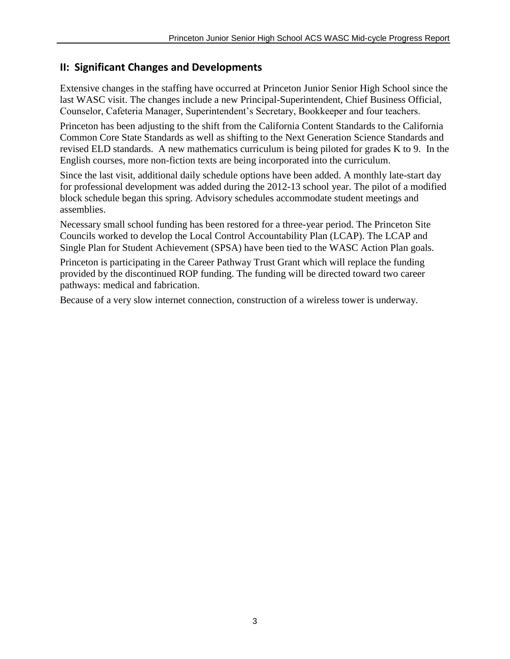## **II: Significant Changes and Developments**

Extensive changes in the staffing have occurred at Princeton Junior Senior High School since the last WASC visit. The changes include a new Principal-Superintendent, Chief Business Official, Counselor, Cafeteria Manager, Superintendent's Secretary, Bookkeeper and four teachers.

Princeton has been adjusting to the shift from the California Content Standards to the California Common Core State Standards as well as shifting to the Next Generation Science Standards and revised ELD standards. A new mathematics curriculum is being piloted for grades K to 9. In the English courses, more non-fiction texts are being incorporated into the curriculum.

Since the last visit, additional daily schedule options have been added. A monthly late-start day for professional development was added during the 2012-13 school year. The pilot of a modified block schedule began this spring. Advisory schedules accommodate student meetings and assemblies.

Necessary small school funding has been restored for a three-year period. The Princeton Site Councils worked to develop the Local Control Accountability Plan (LCAP). The LCAP and Single Plan for Student Achievement (SPSA) have been tied to the WASC Action Plan goals.

Princeton is participating in the Career Pathway Trust Grant which will replace the funding provided by the discontinued ROP funding. The funding will be directed toward two career pathways: medical and fabrication.

Because of a very slow internet connection, construction of a wireless tower is underway.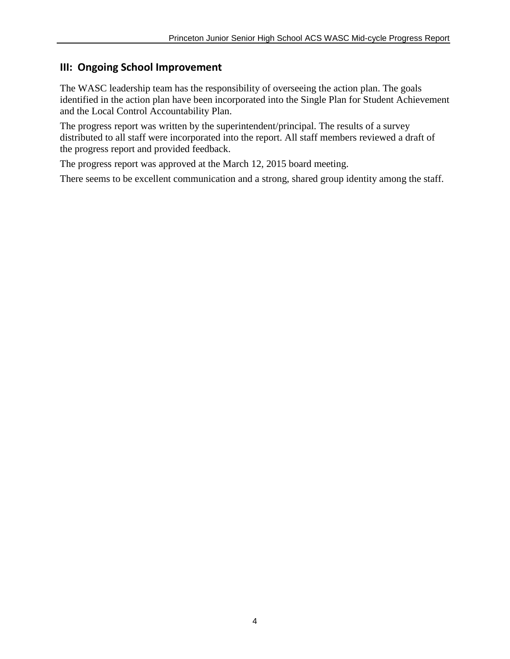## **III: Ongoing School Improvement**

The WASC leadership team has the responsibility of overseeing the action plan. The goals identified in the action plan have been incorporated into the Single Plan for Student Achievement and the Local Control Accountability Plan.

The progress report was written by the superintendent/principal. The results of a survey distributed to all staff were incorporated into the report. All staff members reviewed a draft of the progress report and provided feedback.

The progress report was approved at the March 12, 2015 board meeting.

There seems to be excellent communication and a strong, shared group identity among the staff.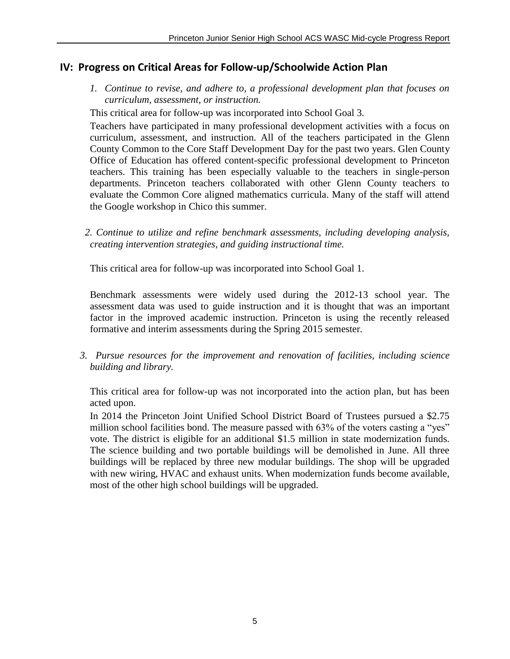## **IV: Progress on Critical Areas for Follow-up/Schoolwide Action Plan**

*1. Continue to revise, and adhere to, a professional development plan that focuses on curriculum, assessment, or instruction.*

This critical area for follow-up was incorporated into School Goal 3.

Teachers have participated in many professional development activities with a focus on curriculum, assessment, and instruction. All of the teachers participated in the Glenn County Common to the Core Staff Development Day for the past two years. Glen County Office of Education has offered content-specific professional development to Princeton teachers. This training has been especially valuable to the teachers in single-person departments. Princeton teachers collaborated with other Glenn County teachers to evaluate the Common Core aligned mathematics curricula. Many of the staff will attend the Google workshop in Chico this summer.

 *2. Continue to utilize and refine benchmark assessments, including developing analysis, creating intervention strategies, and guiding instructional time.* 

This critical area for follow-up was incorporated into School Goal 1.

Benchmark assessments were widely used during the 2012-13 school year. The assessment data was used to guide instruction and it is thought that was an important factor in the improved academic instruction. Princeton is using the recently released formative and interim assessments during the Spring 2015 semester.

 *3. Pursue resources for the improvement and renovation of facilities, including science building and library.*

This critical area for follow-up was not incorporated into the action plan, but has been acted upon.

In 2014 the Princeton Joint Unified School District Board of Trustees pursued a \$2.75 million school facilities bond. The measure passed with 63% of the voters casting a "yes" vote. The district is eligible for an additional \$1.5 million in state modernization funds. The science building and two portable buildings will be demolished in June. All three buildings will be replaced by three new modular buildings. The shop will be upgraded with new wiring, HVAC and exhaust units. When modernization funds become available, most of the other high school buildings will be upgraded.